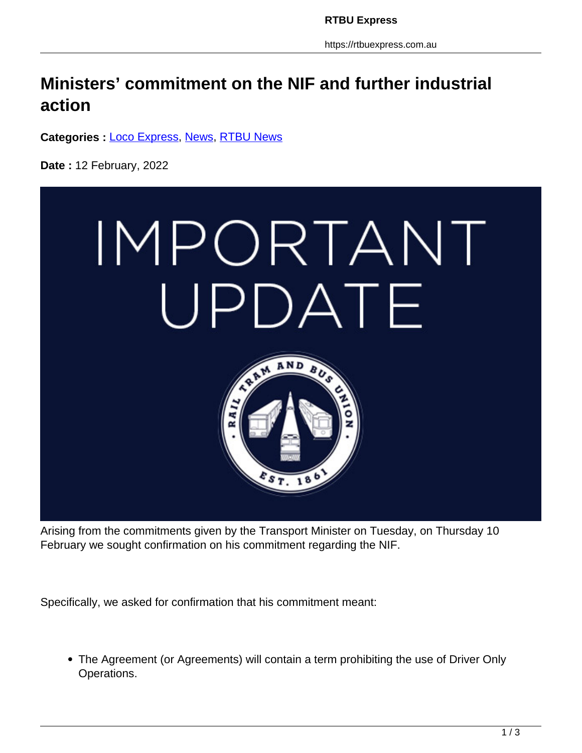https://rtbuexpress.com.au

## **Ministers' commitment on the NIF and further industrial action**

**Categories :** [Loco Express,](https://rtbuexpress.com.au/category/news/loco-express/) News, RTBU News

**Date :** 12 February, 2022



Arising from the commitments given by the Transport Minister on Tuesday, on Thursday 10 February we sought confirmation on his commitment regarding the NIF.

Specifically, we asked for confirmation that his commitment meant:

The Agreement (or Agreements) will contain a term prohibiting the use of Driver Only Operations.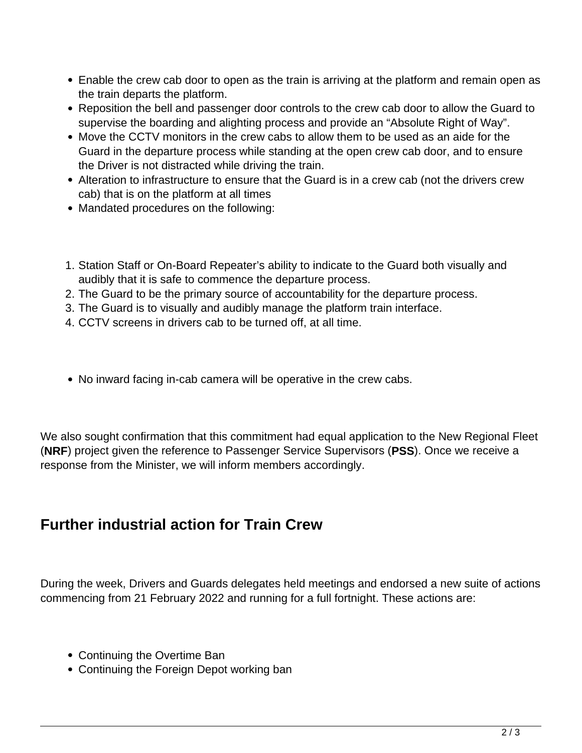- Enable the crew cab door to open as the train is arriving at the platform and remain open as the train departs the platform.
- Reposition the bell and passenger door controls to the crew cab door to allow the Guard to supervise the boarding and alighting process and provide an "Absolute Right of Way".
- Move the CCTV monitors in the crew cabs to allow them to be used as an aide for the Guard in the departure process while standing at the open crew cab door, and to ensure the Driver is not distracted while driving the train.
- Alteration to infrastructure to ensure that the Guard is in a crew cab (not the drivers crew cab) that is on the platform at all times
- Mandated procedures on the following:
- 1. Station Staff or On-Board Repeater's ability to indicate to the Guard both visually and audibly that it is safe to commence the departure process.
- 2. The Guard to be the primary source of accountability for the departure process.
- 3. The Guard is to visually and audibly manage the platform train interface.
- 4. CCTV screens in drivers cab to be turned off, at all time.
- No inward facing in-cab camera will be operative in the crew cabs.

We also sought confirmation that this commitment had equal application to the New Regional Fleet (**NRF**) project given the reference to Passenger Service Supervisors (**PSS**). Once we receive a response from the Minister, we will inform members accordingly.

## **Further industrial action for Train Crew**

During the week, Drivers and Guards delegates held meetings and endorsed a new suite of actions commencing from 21 February 2022 and running for a full fortnight. These actions are:

- Continuing the Overtime Ban
- Continuing the Foreign Depot working ban